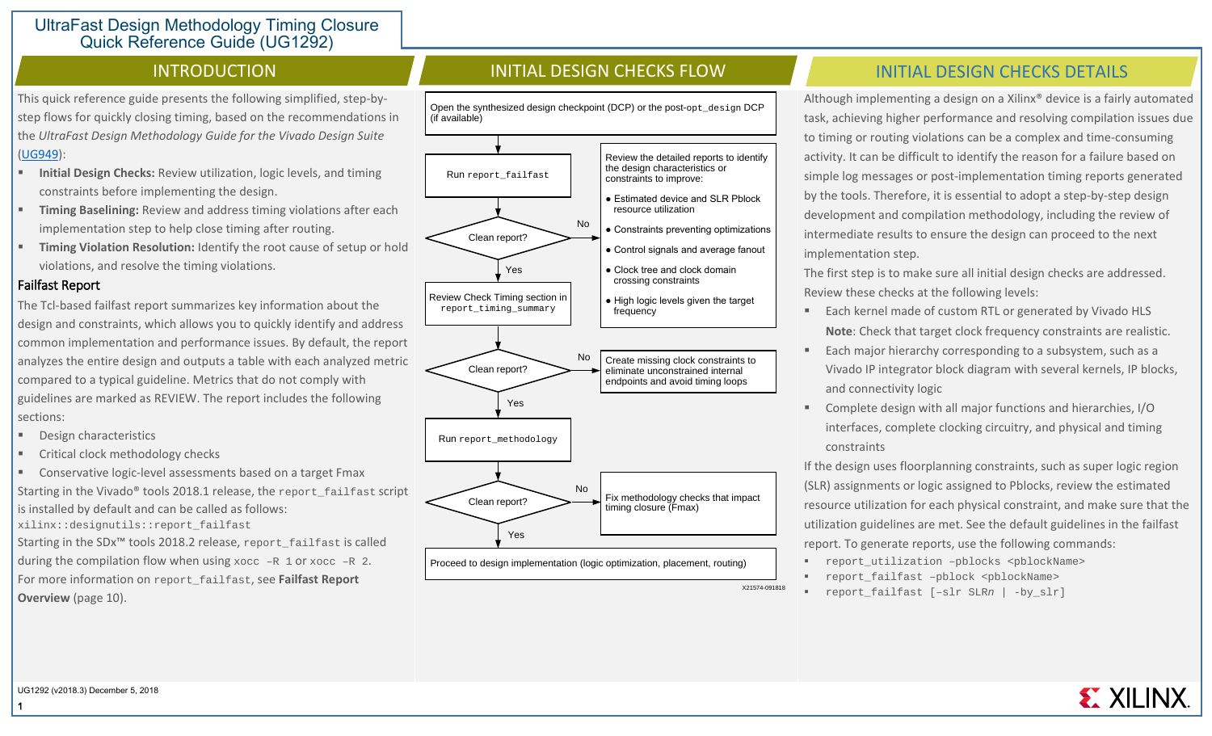This quick reference guide presents the following simplified, step-bystep flows for quickly closing timing, based on the recommendations in the *UltraFast Design Methodology Guide for the Vivado Design Suite* [\(UG949\)](https://www.xilinx.com/cgi-bin/docs/rdoc?v=2018.3;d=ug949-vivado-design-methodology.pdf):

- **Initial Design Checks:** Review utilization, logic levels, and timing constraints before implementing the design.
- **Timing Baselining:** Review and address timing violations after each implementation step to help close timing after routing.
- **Timing Violation Resolution:** Identify the root cause of setup or hold violations, and resolve the timing violations.

#### Failfast Report

The Tcl-based failfast report summarizes key information about the design and constraints, which allows you to quickly identify and address common implementation and performance issues. By default, the report analyzes the entire design and outputs a table with each analyzed metric compared to a typical guideline. Metrics that do not comply with guidelines are marked as REVIEW. The report includes the following sections:

- Design characteristics
- Critical clock methodology checks
- Conservative logic-level assessments based on a target Fmax Starting in the Vivado<sup>®</sup> tools 2018.1 release, the report failfast script is installed by default and can be called as follows: xilinx::designutils::report\_failfast Starting in the SDx™ tools 2018.2 release, report\_failfast is called during the compilation flow when using  $x \circ c \circ -R$  1 or  $x \circ c \circ -R$  2. For more information on report\_failfast, see **Failfast Report**

**Overview** (page 10).

Open the synthesized design checkpoint (DCP) or the post-opt\_design DCP (if available)



# INTRODUCTION INITIAL DESIGN CHECKS FLOW INITIAL DESIGN CHECKS-DETAILS

Although implementing a design on a Xilinx® device is a fairly automated task, achieving higher performance and resolving compilation issues due to timing or routing violations can be a complex and time-consuming activity. It can be difficult to identify the reason for a failure based on simple log messages or post-implementation timing reports generated by the tools. Therefore, it is essential to adopt a step-by-step design development and compilation methodology, including the review of intermediate results to ensure the design can proceed to the next implementation step.

The first step is to make sure all initial design checks are addressed. Review these checks at the following levels:

- Each kernel made of custom RTL or generated by Vivado HLS **Note**: Check that target clock frequency constraints are realistic.
- Each major hierarchy corresponding to a subsystem, such as a Vivado IP integrator block diagram with several kernels, IP blocks, and connectivity logic
- Complete design with all major functions and hierarchies, I/O interfaces, complete clocking circuitry, and physical and timing constraints

If the design uses floorplanning constraints, such as super logic region (SLR) assignments or logic assigned to Pblocks, review the estimated resource utilization for each physical constraint, and make sure that the utilization guidelines are met. See the default guidelines in the failfast report. To generate reports, use the following commands:

- report\_utilization –pblocks <pblockName>
- report\_failfast –pblock <pblockName>
- report\_failfast [–slr SLR*n* | -by\_slr]

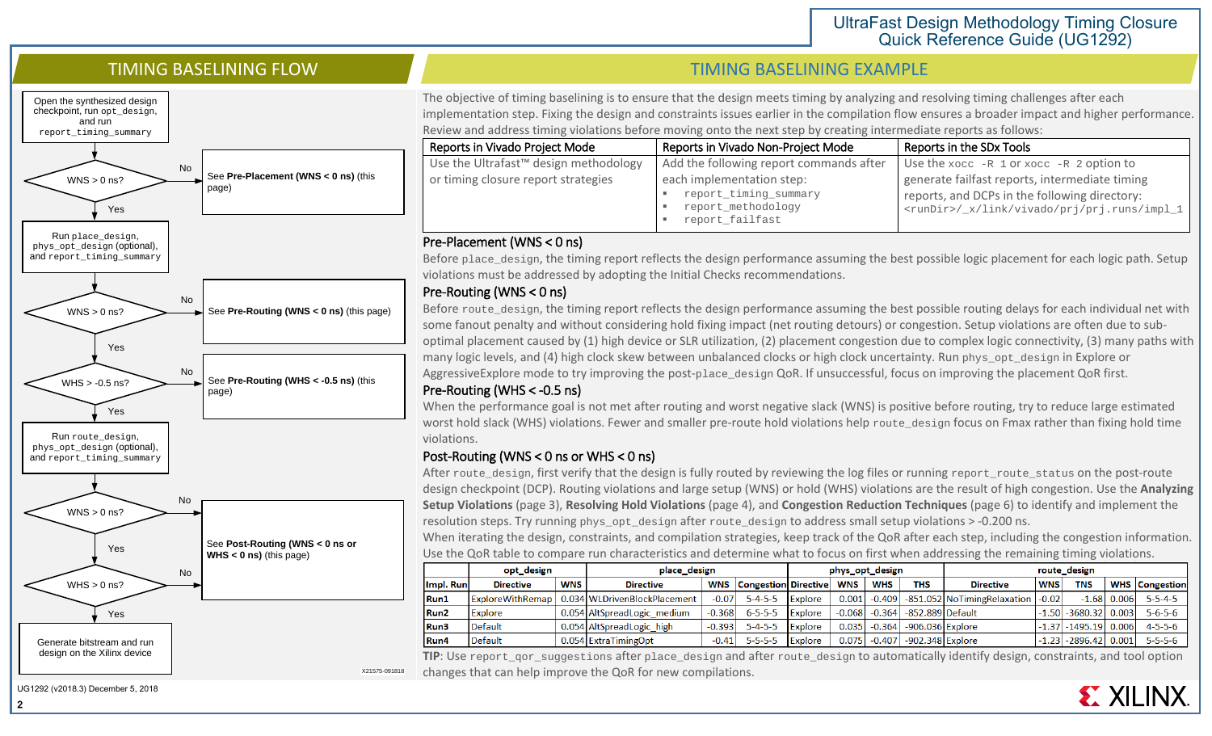

2

# TIMING BASELINING FLOW TIMING BASELINING FLOW

The objective of timing baselining is to ensure that the design meets timing by analyzing and resolving timing challenges after each implementation step. Fixing the design and constraints issues earlier in the compilation flow ensures a broader impact and higher performance. Review and address timing violations before moving onto the next step by creating intermediate reports as follows:

| Reports in Vivado Project Mode                    | Reports in Vivado Non-Project Mode      | Reports in the SDx Tools                             |
|---------------------------------------------------|-----------------------------------------|------------------------------------------------------|
| Use the Ultrafast <sup>™</sup> design methodology | Add the following report commands after | Use the $x$ occ $-R$ 1 or $x$ occ $-R$ 2 option to   |
| or timing closure report strategies               | each implementation step:               | generate failfast reports, intermediate timing       |
|                                                   | report_timing_summary                   | reports, and DCPs in the following directory:        |
|                                                   | report_methodology                      | <rundir>/_x/link/vivado/prj/prj.runs/impl_1</rundir> |
|                                                   | report_failfast                         |                                                      |

#### Pre-Placement (WNS < 0 ns)

Before place\_design, the timing report reflects the design performance assuming the best possible logic placement for each logic path. Setup violations must be addressed by adopting the Initial Checks recommendations.

# Pre-Routing (WNS < 0 ns)

Before route\_design, the timing report reflects the design performance assuming the best possible routing delays for each individual net with some fanout penalty and without considering hold fixing impact (net routing detours) or congestion. Setup violations are often due to suboptimal placement caused by (1) high device or SLR utilization, (2) placement congestion due to complex logic connectivity, (3) many paths with many logic levels, and (4) high clock skew between unbalanced clocks or high clock uncertainty. Run phys\_opt\_design in Explore or AggressiveExplore mode to try improving the post-place\_design QoR. If unsuccessful, focus on improving the placement QoR first.

# Pre-Routing (WHS < -0.5 ns)

When the performance goal is not met after routing and worst negative slack (WNS) is positive before routing, try to reduce large estimated worst hold slack (WHS) violations. Fewer and smaller pre-route hold violations help route\_design focus on Fmax rather than fixing hold time violations.

# Post-Routing (WNS < 0 ns or WHS < 0 ns)

After route design, first verify that the design is fully routed by reviewing the log files or running report route status on the post-route design checkpoint (DCP). Routing violations and large setup (WNS) or hold (WHS) violations are the result of high congestion. Use the **Analyzing Setup Violations** (page 3), **Resolving Hold Violations** (page 4), and **Congestion Reduction Techniques** (page 6) to identify and implement the resolution steps. Try running phys\_opt\_design after route\_design to address small setup violations > -0.200 ns.

When iterating the design, constraints, and compilation strategies, keep track of the QoR after each step, including the congestion information. Use the QoR table to compare run characteristics and determine what to focus on first when addressing the remaining timing violations.

|                  | opt design              |            | place design                 |          |                                 | phys_opt_design |          |            |                    | route design                |            |                    |       |                       |
|------------------|-------------------------|------------|------------------------------|----------|---------------------------------|-----------------|----------|------------|--------------------|-----------------------------|------------|--------------------|-------|-----------------------|
| Impl. Run        | <b>Directive</b>        | <b>WNS</b> | <b>Directive</b>             |          | <b>WNS</b> Congestion Directive |                 | WNS      | <b>WHS</b> | <b>THS</b>         | <b>Directive</b>            | <b>WNS</b> | <b>TNS</b>         |       | <b>WHS</b> Congestion |
| Run1             | <b>ExploreWithRemap</b> |            | 0.034 WLDrivenBlockPlacement | $-0.07$  | $5 - 4 - 5 - 5$                 | Explore         | 0.001    | $-0.409$   |                    | -851.052 NoTimingRelaxation | $-0.02$    | $-1.68$            | 0.006 | $5 - 5 - 4 - 5$       |
| Run <sub>2</sub> | Explore                 |            | 0.054 AltSpreadLogic medium  | $-0.368$ | $6 - 5 - 5 - 5$                 | <b>Explore</b>  | $-0.068$ | $-0.364$   | -852.889 Default   |                             |            | $-1.50$ $-3680.32$ | 0.003 | $5 - 6 - 5 - 6$       |
| Run3             | <b>Default</b>          |            | 0.054 AltSpreadLogic high    | $-0.393$ | $5 - 4 - 5 - 5$                 | Explore         | 0.035    | $-0.364$   | -906.036 Explore   |                             |            | $-1.37$ $-1495.19$ | 0.006 | $4 - 5 - 5 - 6$       |
| Run4             | <b>Default</b>          |            | 0.054 ExtraTimingOpt         | $-0.41$  | $5 - 5 - 5 - 5$                 | Explore         | 0.0751   | $-0.407$   | $-902.348$ Explore |                             |            | $-1.23$ $-2896.42$ | 0.001 | $5 - 5 - 5 - 6$       |

**TIP**: Use report\_qor\_suggestions after place\_design and after route\_design to automatically identify design, constraints, and tool option changes that can help improve the QoR for new compilations.

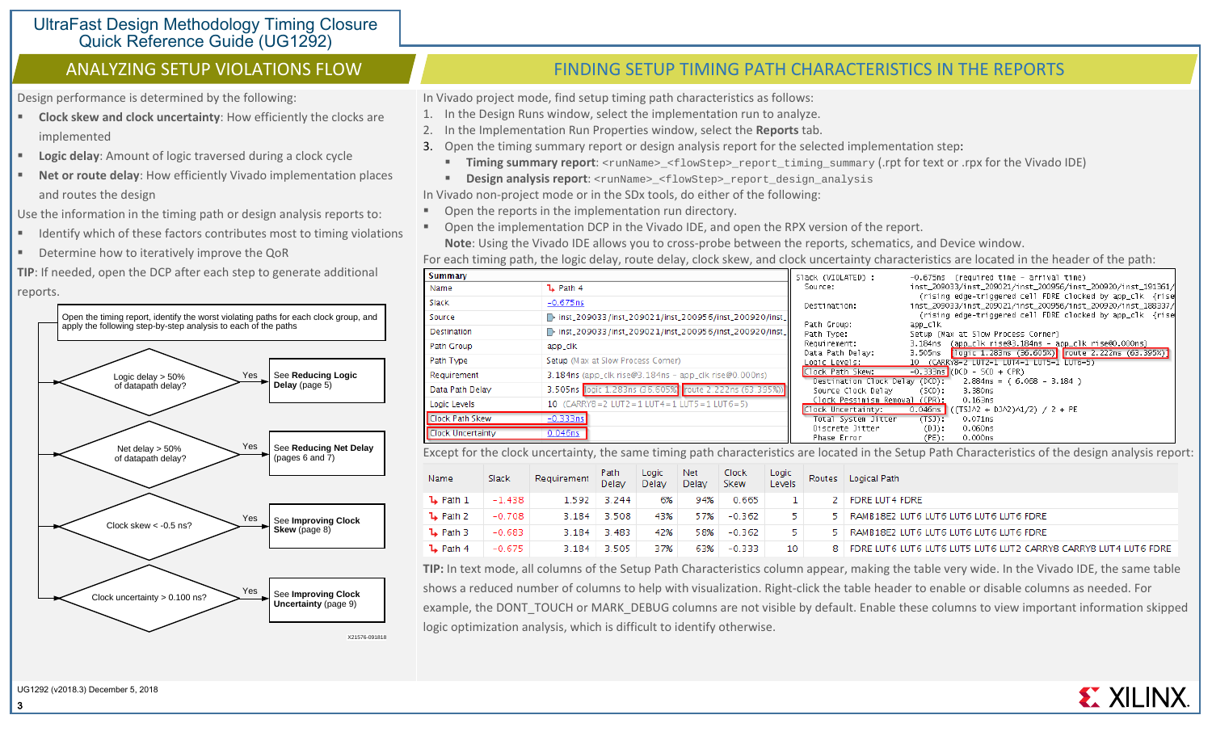Design performance is determined by the following:

- **Clock skew and clock uncertainty**: How efficiently the clocks are implemented
- **Logic delay**: Amount of logic traversed during a clock cycle
- **Net or route delay**: How efficiently Vivado implementation places and routes the design

Use the information in the timing path or design analysis reports to:

- Identify which of these factors contributes most to timing violations
- Determine how to iteratively improve the QoR
- **TIP**: If needed, open the DCP after each step to generate additional reports.



# ANALYZING SETUP VIOLATIONS FLOW THE REPORTS FINDING SETUP TIMING PATH CHARACTERISTICS IN THE REPORTS

In Vivado project mode, find setup timing path characteristics as follows:

- 1. In the Design Runs window, select the implementation run to analyze.
- 2. In the Implementation Run Properties window, select the **Reports** tab.
- 3. Open the timing summary report or design analysis report for the selected implementation step:
	- **Timing summary report:** <runName>\_<flowStep>\_report\_timing\_summary (.rpt for text or .rpx for the Vivado IDE)
- **Design analysis report:** <runName> <flowStep> report\_design\_analysis

In Vivado non-project mode or in the SDx tools, do either of the following:

- **Open the reports in the implementation run directory.**
- Open the implementation DCP in the Vivado IDE, and open the RPX version of the report. **Note**: Using the Vivado IDE allows you to cross-probe between the reports, schematics, and Device window.

For each timing path, the logic delay, route delay, clock skew, and clock uncertainty characteristics are located in the header of the path:

| <b>Summary</b>           |                                                          | Slack (VIOLATED) :             | -0.675ns (required time - arrival time)                                                                                   |
|--------------------------|----------------------------------------------------------|--------------------------------|---------------------------------------------------------------------------------------------------------------------------|
| Name                     | $L$ Path 4                                               | Source:                        | inst_209033/inst_209021/inst_200956/inst_200920/inst_191361/                                                              |
| Slack                    | $-0.675$ ns                                              | Destination:                   | (rising edge-triggered cell FDRE clocked by app_clk {rise<br>inst_209033/inst_209021/inst_200956/inst_200920/inst_188337/ |
| Source                   | D inst_209033/inst_209021/inst_200956/inst_200920/inst_1 |                                | (rising edge-triggered cell FDRE clocked by app_clk {rise                                                                 |
| Destination              | linst_209033/inst_209021/inst_200956/inst_200920/inst_1  | Path Group:<br>Path Type:      | app_clk<br>Setup (Max at Slow Process Corner)                                                                             |
| Path Group               | app_clk                                                  | Requirement:                   | (app_clk rise@3.184ns - app_clk rise@0.000ns)<br>3.184ns                                                                  |
| Path Type                | Setup (Max at Slow Process Corner)                       | Data Path Delay:               | 3.505ns  logic 1.283ns (36.605%)  route 2.222ns (63.395%)                                                                 |
|                          |                                                          | Logic Levels:                  | 10 (CARRY8=2 LUT2=1 LUT4=1 LUT5=1 LUT6=5)                                                                                 |
| Requirement              | $3.184$ ns (app_clk rise@3.184ns – app_clk rise@0.000ns) | Clock Path Skew:               | $-0.333ns$ (DCD - SCD + CPR)                                                                                              |
|                          |                                                          | Destination Clock Delay (DCD); | $2.884$ ns = (6.068 - 3.184)                                                                                              |
| Data Path Delay          | 3.505ns logic 1.283ns (36.605%) route 2.222ns (63.395%)) | Source Clock Delay             | (SCD):<br>3.380ns                                                                                                         |
| Logic Levels             | 10 $(CARRY8 = 2$ LUT2 = 1 LUT4 = 1 LUT5 = 1 LUT6 = 5)    | Clock Pessimism Removal (CPR): | 0.163ns                                                                                                                   |
|                          |                                                          | Clock Uncertainty:             | 0.046ns<br>((TSJA2 + DJA2)A1/2) / 2 + PE                                                                                  |
| <b>Clock Path Skew</b>   | $-0.333ns$                                               | Total System Jitter            | (T5J):<br>0.071ns                                                                                                         |
| <b>Clock Uncertainty</b> | $0.046$ ns                                               | Discrete Jitter                | 0.060ns<br>$(D)$ :                                                                                                        |
|                          |                                                          | Phase Error                    | 0.000n <sub>S</sub><br>(PE):                                                                                              |

Except for the clock uncertainty, the same timing path characteristics are located in the Setup Path Characteristics of the design analysis report:

| Name                | Slack    | Requirement | Path<br>Delay | Logic<br>Delay | Net<br>Delay | <b>Clock</b><br>Skew | Logic<br>Levels | Routes | Logical Path                                                    |
|---------------------|----------|-------------|---------------|----------------|--------------|----------------------|-----------------|--------|-----------------------------------------------------------------|
| $\mathbf{L}$ Path 1 | $-1.438$ | 1.592       | 3.244         | 6%             | 94%          | 0.665                |                 |        | FDRE LUT4 FDRE                                                  |
| $L$ Path 2          | $-0.708$ | 3.184       | 3.508         | 43%            | 57%          | $-0.362$             | 5.              |        | RAMB18E2 LUT6 LUT6 LUT6 LUT6 LUT6 FDRE                          |
| $\mathbf{L}$ Path 3 | $-0.683$ | 3.184       | 3.483         | 42%            | 58%          | $-0.362$             | 5.              |        | RAMB18E2 LUT6 LUT6 LUT6 LUT6 LUT6 FDRE                          |
| $L$ Path 4          | $-0.675$ | 3.184       | 3.505         | 37%            | 63%          | $-0.333$             | 10              | 8.     | FDRE LUT6 LUT6 LUT6 LUT5 LUT6 LUT2 CARRY8 CARRY8 LUT4 LUT6 FDRE |

**TIP:** In text mode, all columns of the Setup Path Characteristics column appear, making the table very wide. In the Vivado IDE, the same table shows a reduced number of columns to help with visualization. Right-click the table header to enable or disable columns as needed. For example, the DONT\_TOUCH or MARK\_DEBUG columns are not visible by default. Enable these columns to view important information skipped logic optimization analysis, which is difficult to identify otherwise.

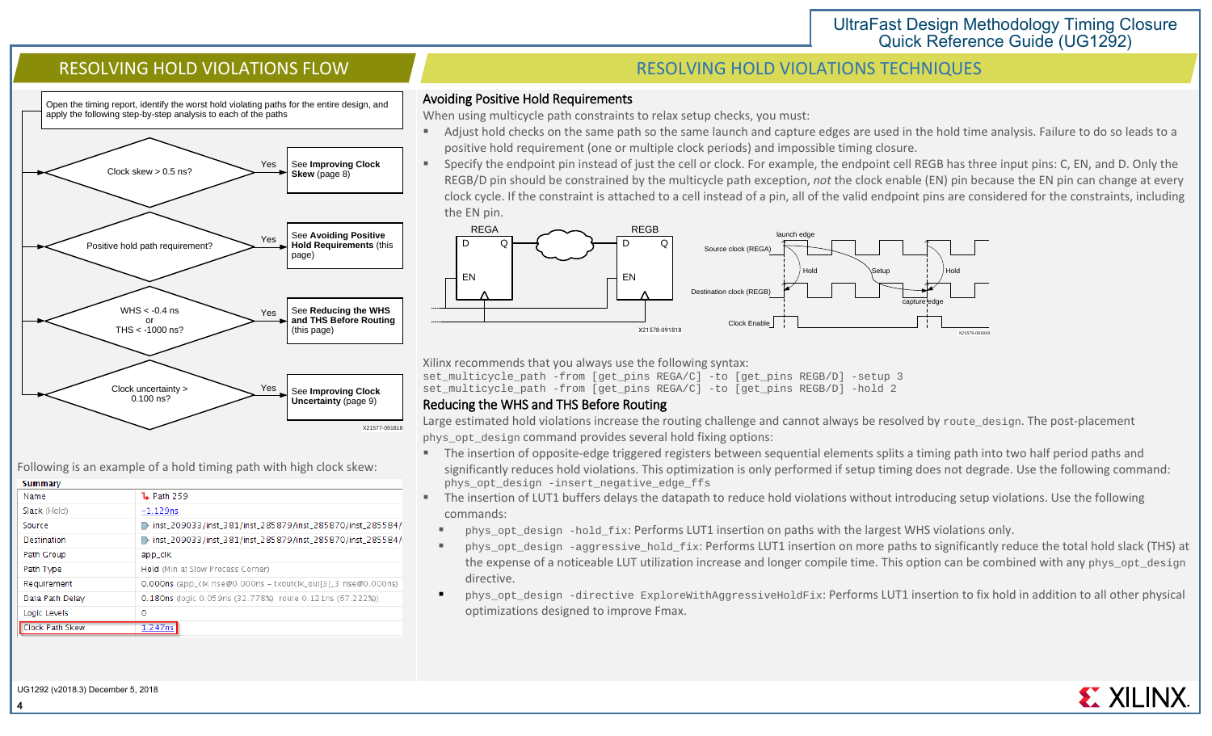Open the timing report, identify the worst hold violating paths for the entire design, and apply the following step-by-step analysis to each of the paths



Following is an example of a hold timing path with high clock skew:

| <b>Summary</b>         |                                                                 |
|------------------------|-----------------------------------------------------------------|
| Name                   | <b>L</b> Path 259                                               |
| Slack (Hold)           | $-1.129$ ns                                                     |
| Source                 | inst_209033/inst_381/inst_285879/inst_285870/inst_285584/i      |
| Destination            | inst_209033/inst_381/inst_285879/inst_285870/inst_285584/i<br>D |
| Path Group             | app_clk                                                         |
| Path Type              | Hold (Min at Slow Process Corner)                               |
| Requirement            | 0.000ns (app_clk_rise@0.000ns - txoutclk_out[3]_3_rise@0.000ns) |
| Data Path Delay        | 0.180ns (logic 0.059ns (32.778%) route 0.121ns (67.222%))       |
| Logic Levels           | 0                                                               |
| <b>Clock Path Skew</b> | 1.247ns                                                         |

# RESOLVING HOLD VIOLATIONS FLOW THE RESOLVING HOLD VIOLATIONS TECHNIQUES

#### Avoiding Positive Hold Requirements

When using multicycle path constraints to relax setup checks, you must:

- Adjust hold checks on the same path so the same launch and capture edges are used in the hold time analysis. Failure to do so leads to a positive hold requirement (one or multiple clock periods) and impossible timing closure.
- Specify the endpoint pin instead of just the cell or clock. For example, the endpoint cell REGB has three input pins: C, EN, and D. Only the REGB/D pin should be constrained by the multicycle path exception, *not* the clock enable (EN) pin because the EN pin can change at every clock cycle. If the constraint is attached to a cell instead of a pin, all of the valid endpoint pins are considered for the constraints, including the EN pin.



Xilinx recommends that you always use the following syntax:

set multicycle path -from [get pins REGA/C] -to [get pins REGB/D] -setup 3 set\_multicycle\_path -from [get\_pins REGA/C] -to [get\_pins REGB/D] -hold 2

### Reducing the WHS and THS Before Routing

Large estimated hold violations increase the routing challenge and cannot always be resolved by route\_design. The post-placement phys\_opt\_design command provides several hold fixing options:

- The insertion of opposite-edge triggered registers between sequential elements splits a timing path into two half period paths and significantly reduces hold violations. This optimization is only performed if setup timing does not degrade. Use the following command: phys\_opt\_design -insert\_negative\_edge\_ffs
- The insertion of LUT1 buffers delays the datapath to reduce hold violations without introducing setup violations. Use the following commands:
	- phys\_opt\_design -hold\_fix: Performs LUT1 insertion on paths with the largest WHS violations only.
	- phys\_opt\_design -aggressive\_hold\_fix: Performs LUT1 insertion on more paths to significantly reduce the total hold slack (THS) at the expense of a noticeable LUT utilization increase and longer compile time. This option can be combined with any phys\_opt\_design directive.
	- phys\_opt\_design -directive ExploreWithAggressiveHoldFix: Performs LUT1 insertion to fix hold in addition to all other physical optimizations designed to improve Fmax.

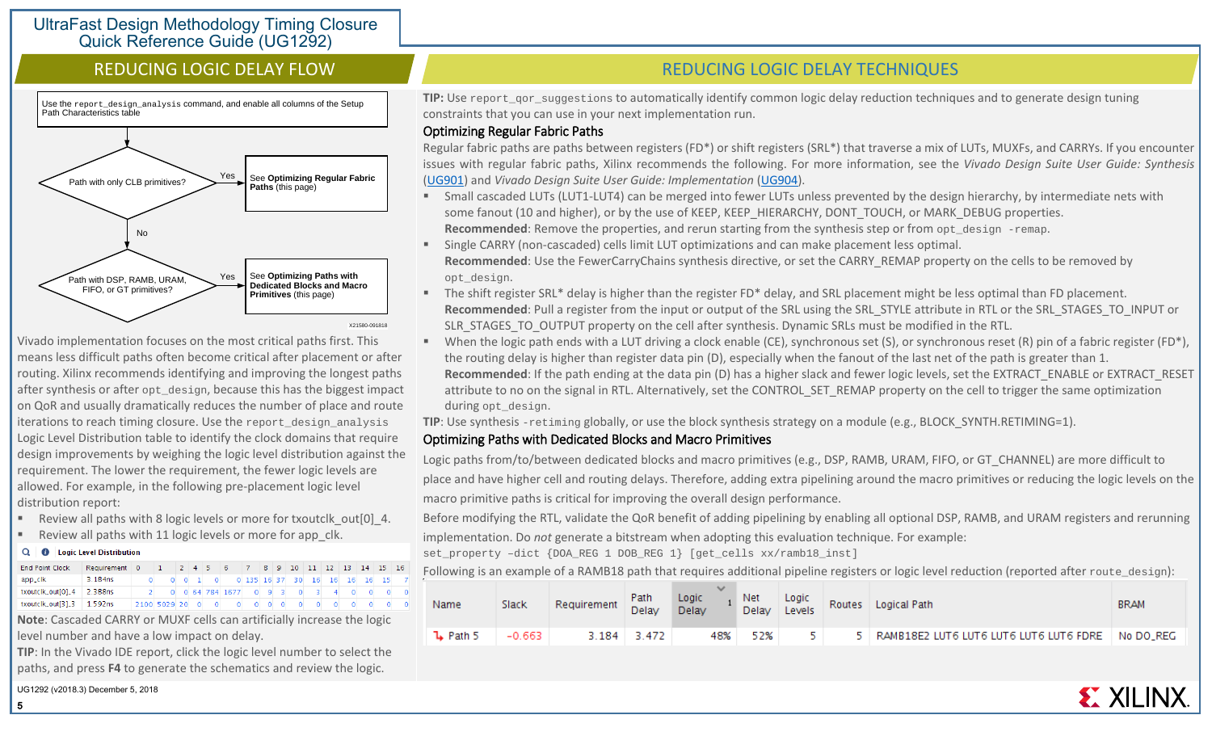Use the report design analysis command, and enable all columns of the Setup Path Characteristics table



Vivado implementation focuses on the most critical paths first. This means less difficult paths often become critical after placement or after routing. Xilinx recommends identifying and improving the longest paths after synthesis or after opt\_design, because this has the biggest impact on QoR and usually dramatically reduces the number of place and route iterations to reach timing closure. Use the report\_design\_analysis Logic Level Distribution table to identify the clock domains that require design improvements by weighing the logic level distribution against the requirement. The lower the requirement, the fewer logic levels are allowed. For example, in the following pre-placement logic level distribution report:

- Review all paths with 8 logic levels or more for txoutclk out[0] 4.
- Review all paths with 11 logic levels or more for app\_clk.

#### Q | 0 | Logic Level Distribution

| <b>End Point Clock</b>      | Requirement         |              | $\mathbf{1}$ |  | $ 2 4 5 6$ 7 8 9 10 11 12 13 14 15 16                                                                  |  |  |  |  |  |
|-----------------------------|---------------------|--------------|--------------|--|--------------------------------------------------------------------------------------------------------|--|--|--|--|--|
| app_clk                     | 3.184 <sub>ns</sub> |              |              |  | 0 0 1 0 0 135 16 37 30 16 16 16 16 15                                                                  |  |  |  |  |  |
| txoutclk_out[0]_4 2.388ns   |                     |              |              |  | 0 0 64 784 1677 0 9 3 0                                                                                |  |  |  |  |  |
| txoutclk_out[3]_3   1.592ns |                     | 2100 5029 20 |              |  | $\begin{array}{ccccccccccccccccc} \circ & & \circ & & \circ & & \circ & & \circ & & \circ \end{array}$ |  |  |  |  |  |

**Note**: Cascaded CARRY or MUXF cells can artificially increase the logic level number and have a low impact on delay.

**TIP**: In the Vivado IDE report, click the logic level number to select the paths, and press **F4** to generate the schematics and review the logic.

UG1292 (v2018.3) December 5, 2018

5

# REDUCING LOGIC DELAY FLOW REDUCING LOGIC DELAY TECHNIQUES

**TIP:** Use report gor suggestions to automatically identify common logic delay reduction techniques and to generate design tuning constraints that you can use in your next implementation run.

### Optimizing Regular Fabric Paths

Regular fabric paths are paths between registers (FD\*) or shift registers (SRL\*) that traverse a mix of LUTs, MUXFs, and CARRYs. If you encounter issues with regular fabric paths, Xilinx recommends the following. For more information, see the *Vivado Design Suite User Guide: Synthesis* [\(UG901\)](https://www.xilinx.com/cgi-bin/docs/rdoc?v=2018.3;d=ug901-vivado-synthesis.pdf) and *Vivado Design Suite User Guide: Implementation* [\(UG904\)](https://www.xilinx.com/cgi-bin/docs/rdoc?v=2018.3;d=ug904-vivado-implementation.pdf).

- Small cascaded LUTs (LUT1-LUT4) can be merged into fewer LUTs unless prevented by the design hierarchy, by intermediate nets with some fanout (10 and higher), or by the use of KEEP, KEEP\_HIERARCHY, DONT\_TOUCH, or MARK\_DEBUG properties. **Recommended:** Remove the properties, and rerun starting from the synthesis step or from opt\_design -remap.
- Single CARRY (non-cascaded) cells limit LUT optimizations and can make placement less optimal. **Recommended**: Use the FewerCarryChains synthesis directive, or set the CARRY\_REMAP property on the cells to be removed by opt\_design.
- The shift register SRL\* delay is higher than the register FD\* delay, and SRL placement might be less optimal than FD placement. **Recommended**: Pull a register from the input or output of the SRL using the SRL\_STYLE attribute in RTL or the SRL\_STAGES\_TO\_INPUT or SLR\_STAGES\_TO\_OUTPUT property on the cell after synthesis. Dynamic SRLs must be modified in the RTL.
- When the logic path ends with a LUT driving a clock enable (CE), synchronous set (S), or synchronous reset (R) pin of a fabric register (FD\*), the routing delay is higher than register data pin (D), especially when the fanout of the last net of the path is greater than 1. **Recommended**: If the path ending at the data pin (D) has a higher slack and fewer logic levels, set the EXTRACT\_ENABLE or EXTRACT\_RESET attribute to no on the signal in RTL. Alternatively, set the CONTROL SET REMAP property on the cell to trigger the same optimization during opt\_design.

**TIP**: Use synthesis -retiming globally, or use the block synthesis strategy on a module (e.g., BLOCK\_SYNTH.RETIMING=1).

# Optimizing Paths with Dedicated Blocks and Macro Primitives

Logic paths from/to/between dedicated blocks and macro primitives (e.g., DSP, RAMB, URAM, FIFO, or GT\_CHANNEL) are more difficult to place and have higher cell and routing delays. Therefore, adding extra pipelining around the macro primitives or reducing the logic levels on the macro primitive paths is critical for improving the overall design performance.

Before modifying the RTL, validate the QoR benefit of adding pipelining by enabling all optional DSP, RAMB, and URAM registers and rerunning implementation. Do *not* generate a bitstream when adopting this evaluation technique. For example:

set\_property –dict {DOA\_REG 1 DOB\_REG 1} [get\_cells xx/ramb18\_inst]

Following is an example of a RAMB18 path that requires additional pipeline registers or logic level reduction (reported after route\_design):

| Name                | Slack    | Requirement | Path<br>Delay | Logic<br>Delay | Net Logic<br>Delay Levels |  | Routes Logical Path                                    | <b>BRAM</b> |
|---------------------|----------|-------------|---------------|----------------|---------------------------|--|--------------------------------------------------------|-------------|
| $\mathbf{L}$ Path 5 | $-0.663$ |             | $3.184$ 3.472 | 48%            | 52%                       |  | 5   RAMB18E2 LUT6 LUT6 LUT6 LUT6 LUT6 FDRE   No DO_REG |             |

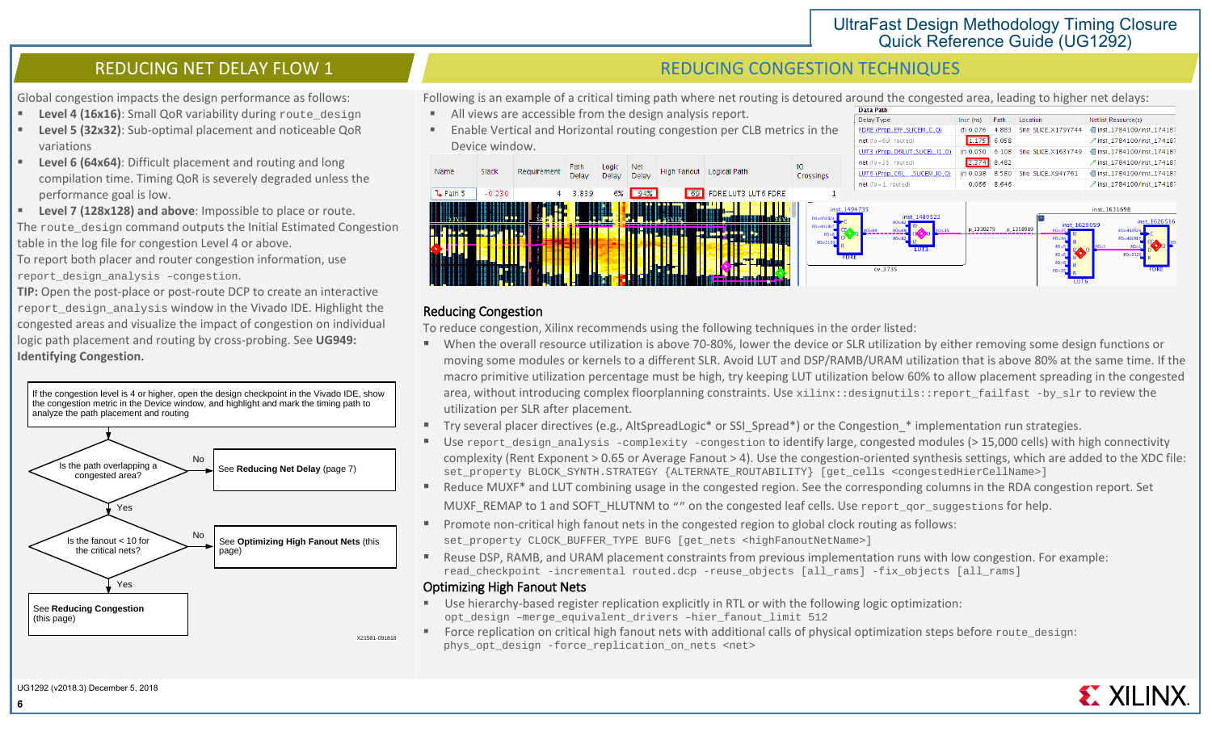Path... Location

1.175 6.058

(f) 0.076 4.883 Site: SLICE\_X179Y744

Netlist Resource(s)

inst 1784100/inst 174187

7 inst\_1784100/inst\_174187

Global congestion impacts the design performance as follows:

- **Level 4 (16x16):** Small QoR variability during route design
- **Level 5 (32x32)**: Sub-optimal placement and noticeable QoR variations
- **Level 6 (64x64)**: Difficult placement and routing and long compilation time. Timing QoR is severely degraded unless the performance goal is low.
- **Level 7 (128x128) and above**: Impossible to place or route. The route\_design command outputs the Initial Estimated Congestion table in the log file for congestion Level 4 or above.

To report both placer and router congestion information, use report design analysis -congestion.

**TIP:** Open the post-place or post-route DCP to create an interactive report design analysis window in the Vivado IDE. Highlight the congested areas and visualize the impact of congestion on individual logic path placement and routing by cross-probing. See **UG949: Identifying Congestion**.

If the congestion level is 4 or higher, open the design checkpoint in the Vivado IDE, show the congestion metric in the Device window, and highlight and mark the timing path to analyze the path placement and routing



# REDUCING NET DELAY FLOW 1 A REDUCING CONGESTION TECHNIQUES

Delay Type

 $net (fo = 69, routed)$ 

FDRE (Prop\_EFF\_SLICEM\_C\_Q)

Following is an example of a critical timing path where net routing is detoured around the congested area, leading to higher net delays:

- All views are accessible from the design analysis report.
- Enable Vertical and Horizontal routing congestion per CLB metrics in the Device window.



### Reducing Congestion

To reduce congestion, Xilinx recommends using the following techniques in the order listed:

- When the overall resource utilization is above 70-80%, lower the device or SLR utilization by either removing some design functions or moving some modules or kernels to a different SLR. Avoid LUT and DSP/RAMB/URAM utilization that is above 80% at the same time. If the macro primitive utilization percentage must be high, try keeping LUT utilization below 60% to allow placement spreading in the congested area, without introducing complex floorplanning constraints. Use xilinx::designutils::report\_failfast -by\_slr to review the utilization per SLR after placement.
- Try several placer directives (e.g., AltSpreadLogic\* or SSI\_Spread\*) or the Congestion \* implementation run strategies.
- Use report\_design\_analysis -complexity -congestion to identify large, congested modules (> 15,000 cells) with high connectivity complexity (Rent Exponent > 0.65 or Average Fanout > 4). Use the congestion-oriented synthesis settings, which are added to the XDC file: set\_property BLOCK\_SYNTH.STRATEGY {ALTERNATE\_ROUTABILITY} [get\_cells <congestedHierCellName>]
- Reduce MUXF<sup>\*</sup> and LUT combining usage in the congested region. See the corresponding columns in the RDA congestion report. Set MUXF\_REMAP to 1 and SOFT\_HLUTNM to "" on the congested leaf cells. Use report\_qor\_suggestions for help.
- **Promote non-critical high fanout nets in the congested region to global clock routing as follows:** set\_property CLOCK\_BUFFER\_TYPE BUFG [get\_nets <highFanoutNetName>]
- Reuse DSP, RAMB, and URAM placement constraints from previous implementation runs with low congestion. For example: read\_checkpoint -incremental routed.dcp -reuse\_objects [all\_rams] -fix\_objects [all\_rams]

## Optimizing High Fanout Nets

- Use hierarchy-based register replication explicitly in RTL or with the following logic optimization: opt\_design –merge\_equivalent\_drivers –hier\_fanout\_limit 512
- Force replication on critical high fanout nets with additional calls of physical optimization steps before route\_design: phys\_opt\_design -force\_replication\_on\_nets <net>

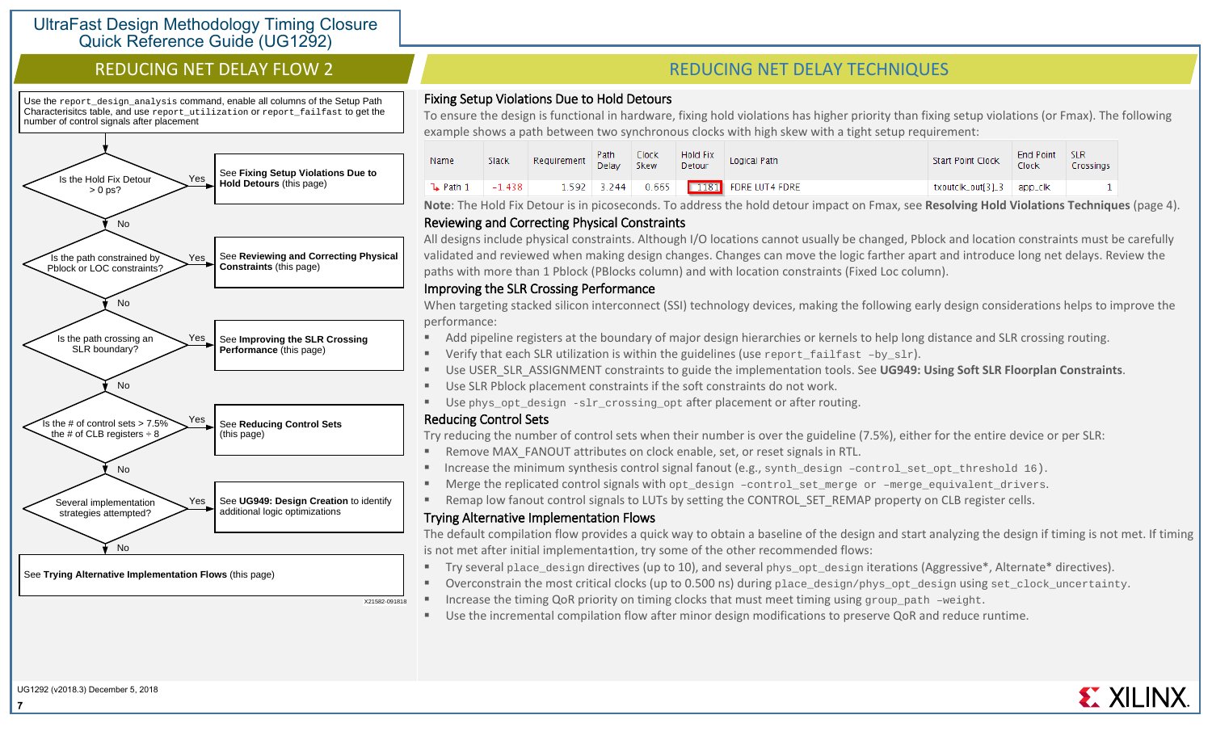Use the report\_design\_analysis command, enable all columns of the Setup Path Characterisitcs table, and use report utilization or report failfast to get the number of control signals after placement



See **Trying Alternative Implementation Flows** (this page)

# REDUCING NET DELAY FLOW 2 A REDUCING NET DELAY TECHNIQUES

### Fixing Setup Violations Due to Hold Detours

To ensure the design is functional in hardware, fixing hold violations has higher priority than fixing setup violations (or Fmax). The following example shows a path between two synchronous clocks with high skew with a tight setup requirement:

| Name                | Slack    | Requirement Path |               | Clock<br>Skew | Hold Fix<br>Detour | Logical Path        | <b>Start Point Clock</b>    | End Point<br>Tlock | <b>SLR</b><br>Crossinas |
|---------------------|----------|------------------|---------------|---------------|--------------------|---------------------|-----------------------------|--------------------|-------------------------|
| $\mathbf{L}$ Path 1 | $-1.438$ |                  | $1.592$ 3.244 | 0.665         |                    | 1181 FDRE LUT4 FDRE | txoutclk_out[3]_3   app_clk |                    |                         |

**Note**: The Hold Fix Detour is in picoseconds. To address the hold detour impact on Fmax, see **Resolving Hold Violations Techniques** (page 4).

# Reviewing and Correcting Physical Constraints

All designs include physical constraints. Although I/O locations cannot usually be changed, Pblock and location constraints must be carefully validated and reviewed when making design changes. Changes can move the logic farther apart and introduce long net delays. Review the paths with more than 1 Pblock (PBlocks column) and with location constraints (Fixed Loc column).

### Improving the SLR Crossing Performance

When targeting stacked silicon interconnect (SSI) technology devices, making the following early design considerations helps to improve the performance:

- Add pipeline registers at the boundary of major design hierarchies or kernels to help long distance and SLR crossing routing.
- Verify that each SLR utilization is within the guidelines (use report failfast  $-by\_slx$ ).
- Use USER\_SLR\_ASSIGNMENT constraints to guide the implementation tools. See **UG949: Using Soft SLR Floorplan Constraints**.
- Use SLR Pblock placement constraints if the soft constraints do not work.
- Use phys\_opt\_design -slr\_crossing\_opt after placement or after routing.

## Reducing Control Sets

X21582-091818

Try reducing the number of control sets when their number is over the guideline (7.5%), either for the entire device or per SLR:

- Remove MAX\_FANOUT attributes on clock enable, set, or reset signals in RTL.
- Increase the minimum synthesis control signal fanout (e.g., synth\_design –control\_set\_opt\_threshold 16).
- Merge the replicated control signals with opt\_design –control\_set\_merge or –merge\_equivalent\_drivers.
- Remap low fanout control signals to LUTs by setting the CONTROL\_SET\_REMAP property on CLB register cells.

## Trying Alternative Implementation Flows

The default compilation flow provides a quick way to obtain a baseline of the design and start analyzing the design if timing is not met. If timing is not met after initial implementa1tion, try some of the other recommended flows:

- Try several place\_design directives (up to 10), and several phys\_opt\_design iterations (Aggressive\*, Alternate\* directives).
- Overconstrain the most critical clocks (up to 0.500 ns) during place\_design/phys\_opt\_design using set\_clock\_uncertainty.
- Increase the timing QoR priority on timing clocks that must meet timing using group\_path –weight.
- Use the incremental compilation flow after minor design modifications to preserve QoR and reduce runtime.

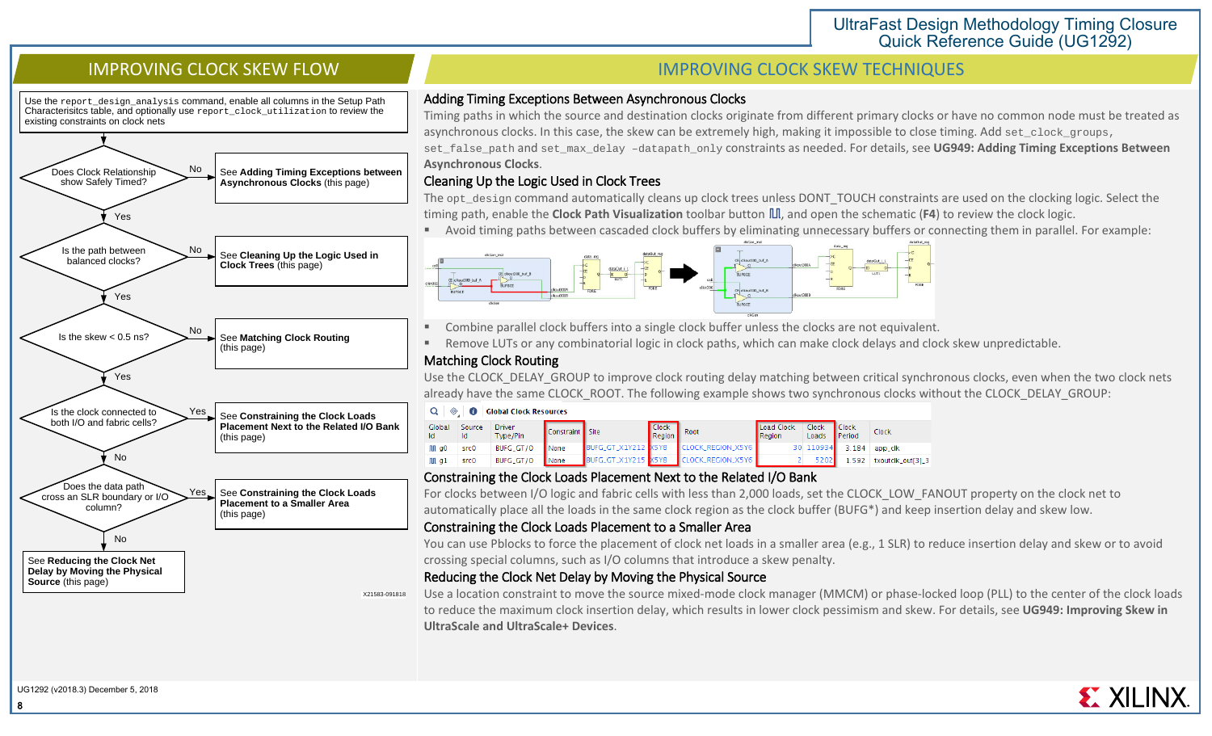Use the report\_design\_analysis command, enable all columns in the Setup Path Characterisitcs table, and optionally use report\_clock\_utilization to review the existing constraints on clock nets



# **IMPROVING CLOCK SKEW FLOW IMPROVING CLOCK SKEW TECHNIQUES**

### Adding Timing Exceptions Between Asynchronous Clocks

Timing paths in which the source and destination clocks originate from different primary clocks or have no common node must be treated as asynchronous clocks. In this case, the skew can be extremely high, making it impossible to close timing. Add set\_clock\_groups, set\_false\_path and set\_max\_delay –datapath\_only constraints as needed. For details, see **UG949: Adding Timing Exceptions Between Asynchronous Clocks**.

## Cleaning Up the Logic Used in Clock Trees

The opt\_design command automatically cleans up clock trees unless DONT\_TOUCH constraints are used on the clocking logic. Select the timing path, enable the **Clock Path Visualization** toolbar button III, and open the schematic (F4) to review the clock logic.

Avoid timing paths between cascaded clock buffers by eliminating unnecessary buffers or connecting them in parallel. For example:



- Combine parallel clock buffers into a single clock buffer unless the clocks are not equivalent.
- Remove LUTs or any combinatorial logic in clock paths, which can make clock delays and clock skew unpredictable.

## Matching Clock Routing

Use the CLOCK DELAY GROUP to improve clock routing delay matching between critical synchronous clocks, even when the two clock nets already have the same CLOCK\_ROOT. The following example shows two synchronous clocks without the CLOCK\_DELAY\_GROUP:

|              | $Q \quad \circledcirc$<br><b>Global Clock Resources</b><br>-0 |                    |                 |                     |                        |                  |                      |                       |                               |                   |
|--------------|---------------------------------------------------------------|--------------------|-----------------|---------------------|------------------------|------------------|----------------------|-----------------------|-------------------------------|-------------------|
| Global<br>Id | Source<br>Id                                                  | Driver<br>Type/Pin | Constraint Site |                     | <b>Clock</b><br>Region | Root             | Load Clock<br>Region | <b>Clock</b><br>Loads | <b>Clock</b><br><b>Period</b> | Clock             |
| M gO         | src0                                                          | BUFG_GT/O          | <b>None</b>     | BUFG_GT_X1Y212 X5Y8 |                        | LOCK_REGION_X5Y6 |                      | 30 110934             | 3.184                         | app_clk           |
| M g1         | src0                                                          | BUFG_GT/O          | None            | BUFG_GT_X1Y215 X5Y8 |                        | LOCK_REGION_X5Y6 |                      | 5202                  | L.592                         | txoutclk_out[3]_3 |

## Constraining the Clock Loads Placement Next to the Related I/O Bank

For clocks between I/O logic and fabric cells with less than 2,000 loads, set the CLOCK\_LOW\_FANOUT property on the clock net to automatically place all the loads in the same clock region as the clock buffer (BUFG\*) and keep insertion delay and skew low.

# Constraining the Clock Loads Placement to a Smaller Area

You can use Pblocks to force the placement of clock net loads in a smaller area (e.g., 1 SLR) to reduce insertion delay and skew or to avoid crossing special columns, such as I/O columns that introduce a skew penalty.

## Reducing the Clock Net Delay by Moving the Physical Source

Use a location constraint to move the source mixed-mode clock manager (MMCM) or phase-locked loop (PLL) to the center of the clock loads to reduce the maximum clock insertion delay, which results in lower clock pessimism and skew. For details, see **UG949: Improving Skew in UltraScale and UltraScale+ Devices**.

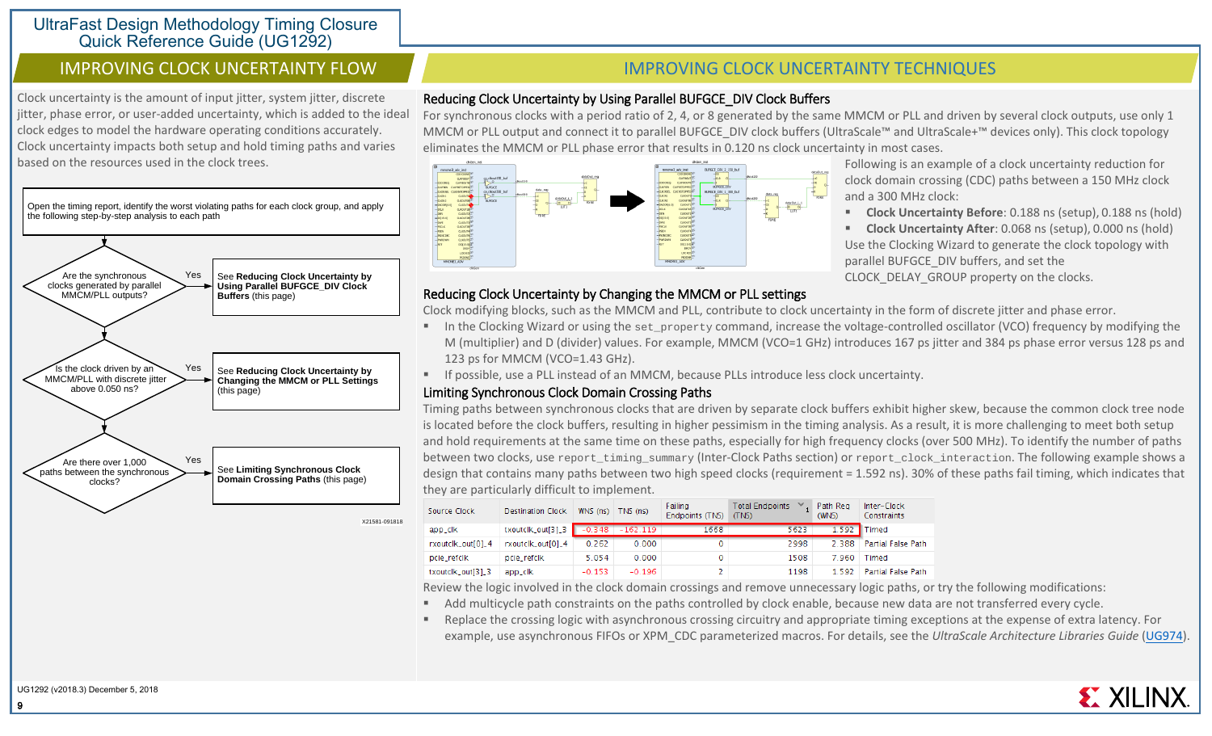Clock uncertainty is the amount of input jitter, system jitter, discrete jitter, phase error, or user-added uncertainty, which is added to the ideal clock edges to model the hardware operating conditions accurately. Clock uncertainty impacts both setup and hold timing paths and varies based on the resources used in the clock trees.



# **IMPROVING CLOCK UNCERTAINTY FLOW IMPROVING CLOCK UNCERTAINTY TECHNIQUES**

# Reducing Clock Uncertainty by Using Parallel BUFGCE\_DIV Clock Buffers

For synchronous clocks with a period ratio of 2, 4, or 8 generated by the same MMCM or PLL and driven by several clock outputs, use only 1 MMCM or PLL output and connect it to parallel BUFGCE\_DIV clock buffers (UltraScale™ and UltraScale+™ devices only). This clock topology eliminates the MMCM or PLL phase error that results in 0.120 ns clock uncertainty in most cases.

> Following is an example of a clock uncertainty reduction for clock domain crossing (CDC) paths between a 150 MHz clock

 **Clock Uncertainty Before**: 0.188 ns (setup), 0.188 ns (hold) **Clock Uncertainty After**: 0.068 ns (setup), 0.000 ns (hold) Use the Clocking Wizard to generate the clock topology with

and a 300 MHz clock:

parallel BUFGCE\_DIV buffers, and set the CLOCK\_DELAY\_GROUP property on the clocks.



## Reducing Clock Uncertainty by Changing the MMCM or PLL settings

Clock modifying blocks, such as the MMCM and PLL, contribute to clock uncertainty in the form of discrete jitter and phase error.

- In the Clocking Wizard or using the set property command, increase the voltage-controlled oscillator (VCO) frequency by modifying the M (multiplier) and D (divider) values. For example, MMCM (VCO=1 GHz) introduces 167 ps jitter and 384 ps phase error versus 128 ps and 123 ps for MMCM (VCO=1.43 GHz).
- If possible, use a PLL instead of an MMCM, because PLLs introduce less clock uncertainty.

#### Limiting Synchronous Clock Domain Crossing Paths

Timing paths between synchronous clocks that are driven by separate clock buffers exhibit higher skew, because the common clock tree node is located before the clock buffers, resulting in higher pessimism in the timing analysis. As a result, it is more challenging to meet both setup and hold requirements at the same time on these paths, especially for high frequency clocks (over 500 MHz). To identify the number of paths between two clocks, use report\_timing\_summary (Inter-Clock Paths section) or report\_clock\_interaction. The following example shows a design that contains many paths between two high speed clocks (requirement = 1.592 ns). 30% of these paths fail timing, which indicates that they are particularly difficult to implement.

| Source Clock      | <b>Destination Clock</b> | WNS (ns) | $\sqrt{INS}$ (ns) | Failing<br>Endpoints (TNS) | <b>Total Endpoints</b><br>(TNS) | Path Reg<br>(WNS) | Inter-Clock<br>Constraints |
|-------------------|--------------------------|----------|-------------------|----------------------------|---------------------------------|-------------------|----------------------------|
| app_clk           | txoutclk_out[3]_3        | $-0.348$ | $-162.119$        | 1668                       | 5623                            | 1.592             | <b>Timed</b>               |
| rxoutclk_out[0]_4 | rxoutclk_out[0]_4        | 0.262    | 0.000             |                            | 2998                            | 2.388             | Partial False Path         |
| pcie_refclk       | pcie_refclk              | 5.054    | 0.000             |                            | 1508                            | 7.960             | Timed                      |
| txoutclk_out[3]_3 | app_clk                  | $-0.153$ | $-0.196$          |                            | 1198                            | 1.592             | Partial False Path         |

Review the logic involved in the clock domain crossings and remove unnecessary logic paths, or try the following modifications:

- Add multicycle path constraints on the paths controlled by clock enable, because new data are not transferred every cycle.
- Replace the crossing logic with asynchronous crossing circuitry and appropriate timing exceptions at the expense of extra latency. For example, use asynchronous FIFOs or XPM\_CDC parameterized macros. For details, see the *UltraScale Architecture Libraries Guide* [\(UG974\)](https://www.xilinx.com/cgi-bin/docs/rdoc?v=2018.3;d=ug974-vivado-ultrascale-libraries.pdf).